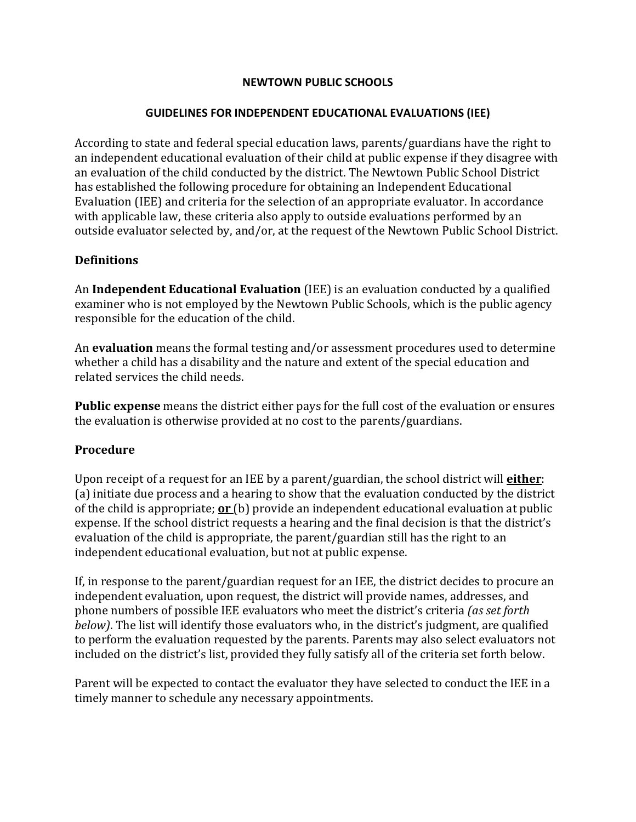#### **NEWTOWN PUBLIC SCHOOLS**

#### **GUIDELINES FOR INDEPENDENT EDUCATIONAL EVALUATIONS (IEE)**

According to state and federal special education laws, parents/guardians have the right to an independent educational evaluation of their child at public expense if they disagree with an evaluation of the child conducted by the district. The Newtown Public School District has established the following procedure for obtaining an Independent Educational Evaluation (IEE) and criteria for the selection of an appropriate evaluator. In accordance with applicable law, these criteria also apply to outside evaluations performed by an outside evaluator selected by, and/or, at the request of the Newtown Public School District.

### **Definitions**

An **Independent Educational Evaluation** (IEE) is an evaluation conducted by a qualified examiner who is not employed by the Newtown Public Schools, which is the public agency responsible for the education of the child.

An **evaluation** means the formal testing and/or assessment procedures used to determine whether a child has a disability and the nature and extent of the special education and related services the child needs.

**Public expense** means the district either pays for the full cost of the evaluation or ensures the evaluation is otherwise provided at no cost to the parents/guardians.

### **Procedure**

Upon receipt of a request for an IEE by a parent/guardian, the school district will **either**: (a) initiate due process and a hearing to show that the evaluation conducted by the district of the child is appropriate; **or** (b) provide an independent educational evaluation at public expense. If the school district requests a hearing and the final decision is that the district's evaluation of the child is appropriate, the parent/guardian still has the right to an independent educational evaluation, but not at public expense.

If, in response to the parent/guardian request for an IEE, the district decides to procure an independent evaluation, upon request, the district will provide names, addresses, and phone numbers of possible IEE evaluators who meet the district's criteria *(as set forth below)*. The list will identify those evaluators who, in the district's judgment, are qualified to perform the evaluation requested by the parents. Parents may also select evaluators not included on the district's list, provided they fully satisfy all of the criteria set forth below.

Parent will be expected to contact the evaluator they have selected to conduct the IEE in a timely manner to schedule any necessary appointments.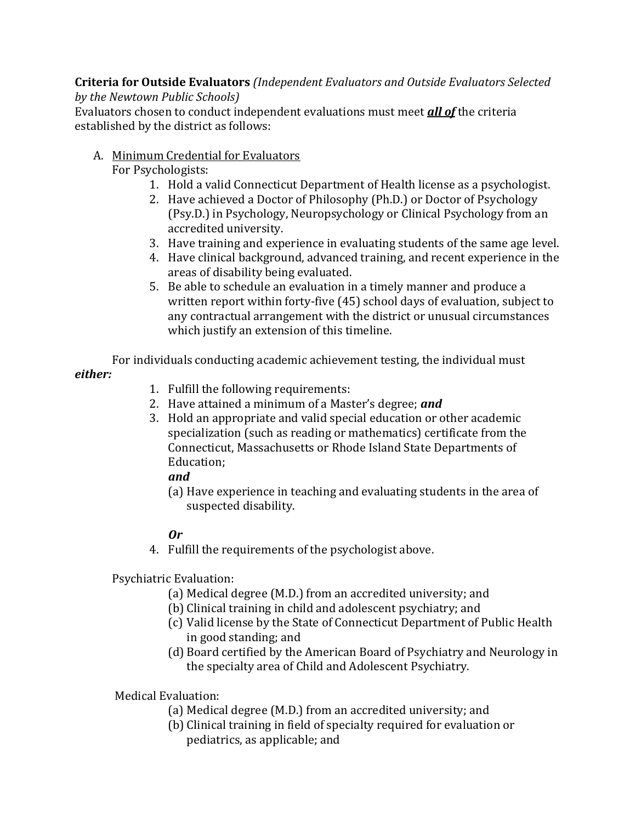**Criteria for Outside Evaluators** *(Independent Evaluators and Outside Evaluators Selected by the Newtown Public Schools)*

Evaluators chosen to conduct independent evaluations must meet *all of* the criteria established by the district as follows:

# A. Minimum Credential for Evaluators

For Psychologists:

- 1. Hold a valid Connecticut Department of Health license as a psychologist.
- 2. Have achieved a Doctor of Philosophy (Ph.D.) or Doctor of Psychology (Psy.D.) in Psychology, Neuropsychology or Clinical Psychology from an accredited university.
- 3. Have training and experience in evaluating students of the same age level.
- 4. Have clinical background, advanced training, and recent experience in the areas of disability being evaluated.
- 5. Be able to schedule an evaluation in a timely manner and produce a written report within forty-five (45) school days of evaluation, subject to any contractual arrangement with the district or unusual circumstances which justify an extension of this timeline.

For individuals conducting academic achievement testing, the individual must *either:*

- 1. Fulfill the following requirements:
- 2. Have attained a minimum of a Master's degree; *and*
- 3. Hold an appropriate and valid special education or other academic specialization (such as reading or mathematics) certificate from the Connecticut, Massachusetts or Rhode Island State Departments of Education;

# *and*

(a) Have experience in teaching and evaluating students in the area of suspected disability.

# *Or*

4. Fulfill the requirements of the psychologist above.

Psychiatric Evaluation:

- (a) Medical degree (M.D.) from an accredited university; and
- (b) Clinical training in child and adolescent psychiatry; and
- (c) Valid license by the State of Connecticut Department of Public Health in good standing; and
- (d) Board certified by the American Board of Psychiatry and Neurology in the specialty area of Child and Adolescent Psychiatry.

Medical Evaluation:

- (a) Medical degree (M.D.) from an accredited university; and
- (b) Clinical training in field of specialty required for evaluation or pediatrics, as applicable; and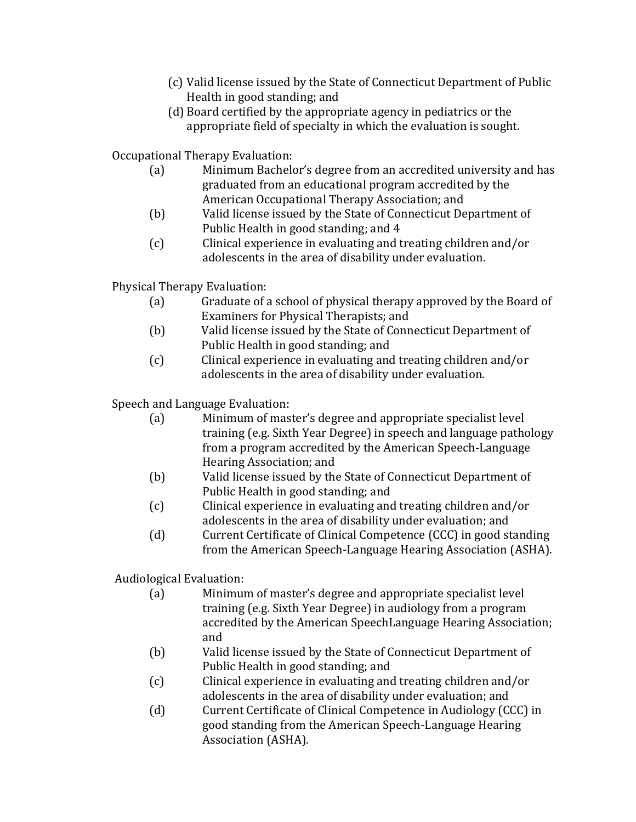- (c) Valid license issued by the State of Connecticut Department of Public Health in good standing; and
- (d) Board certified by the appropriate agency in pediatrics or the appropriate field of specialty in which the evaluation is sought.

Occupational Therapy Evaluation:

- Minimum Bachelor's degree from an accredited university and has graduated from an educational program accredited by the American Occupational Therapy Association; and
- (b) Valid license issued by the State of Connecticut Department of Public Health in good standing; and 4
- (c) Clinical experience in evaluating and treating children and/or adolescents in the area of disability under evaluation.

Physical Therapy Evaluation:<br>(a) Graduate of a

- Graduate of a school of physical therapy approved by the Board of Examiners for Physical Therapists; and
- (b) Valid license issued by the State of Connecticut Department of Public Health in good standing; and
- (c) Clinical experience in evaluating and treating children and/or adolescents in the area of disability under evaluation.

Speech and Language Evaluation:<br>(a) Minimum of mas

- Minimum of master's degree and appropriate specialist level training (e.g. Sixth Year Degree) in speech and language pathology from a program accredited by the American Speech-Language Hearing Association; and
- (b) Valid license issued by the State of Connecticut Department of Public Health in good standing; and
- (c) Clinical experience in evaluating and treating children and/or adolescents in the area of disability under evaluation; and
- (d) Current Certificate of Clinical Competence (CCC) in good standing from the American Speech-Language Hearing Association (ASHA).

Audiological Evaluation:<br>(a) Minimur

- Minimum of master's degree and appropriate specialist level training (e.g. Sixth Year Degree) in audiology from a program accredited by the American SpeechLanguage Hearing Association; and
- (b) Valid license issued by the State of Connecticut Department of Public Health in good standing; and
- (c) Clinical experience in evaluating and treating children and/or adolescents in the area of disability under evaluation; and
- (d) Current Certificate of Clinical Competence in Audiology (CCC) in good standing from the American Speech-Language Hearing Association (ASHA).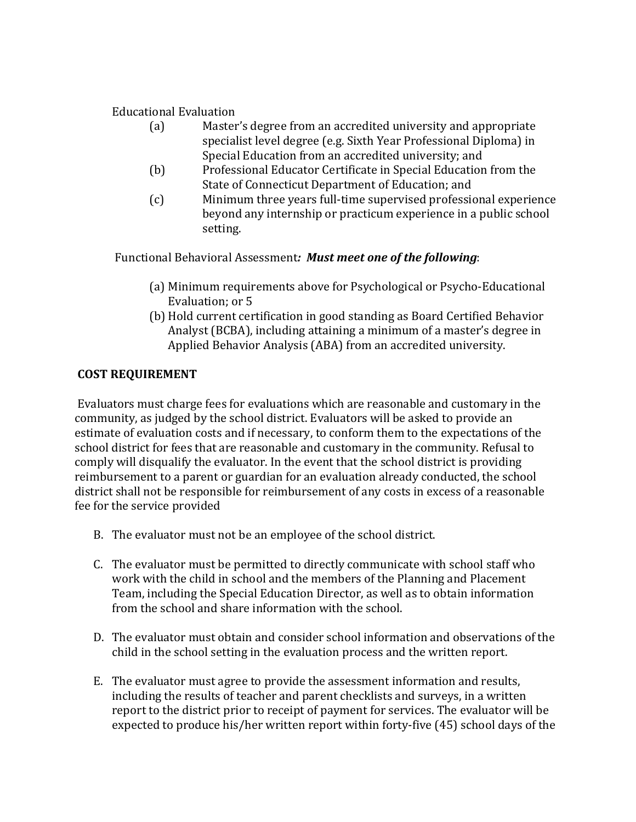# Educational Evaluation<br>(a) Master

- Master's degree from an accredited university and appropriate specialist level degree (e.g. Sixth Year Professional Diploma) in Special Education from an accredited university; and
- (b) Professional Educator Certificate in Special Education from the State of Connecticut Department of Education; and
- (c) Minimum three years full-time supervised professional experience beyond any internship or practicum experience in a public school setting.

Functional Behavioral Assessment*: Must meet one of the following*:

- (a) Minimum requirements above for Psychological or Psycho-Educational Evaluation; or 5
- (b) Hold current certification in good standing as Board Certified Behavior Analyst (BCBA), including attaining a minimum of a master's degree in Applied Behavior Analysis (ABA) from an accredited university.

## **COST REQUIREMENT**

Evaluators must charge fees for evaluations which are reasonable and customary in the community, as judged by the school district. Evaluators will be asked to provide an estimate of evaluation costs and if necessary, to conform them to the expectations of the school district for fees that are reasonable and customary in the community. Refusal to comply will disqualify the evaluator. In the event that the school district is providing reimbursement to a parent or guardian for an evaluation already conducted, the school district shall not be responsible for reimbursement of any costs in excess of a reasonable fee for the service provided

- B. The evaluator must not be an employee of the school district.
- C. The evaluator must be permitted to directly communicate with school staff who work with the child in school and the members of the Planning and Placement Team, including the Special Education Director, as well as to obtain information from the school and share information with the school.
- D. The evaluator must obtain and consider school information and observations of the child in the school setting in the evaluation process and the written report.
- E. The evaluator must agree to provide the assessment information and results, including the results of teacher and parent checklists and surveys, in a written report to the district prior to receipt of payment for services. The evaluator will be expected to produce his/her written report within forty-five (45) school days of the